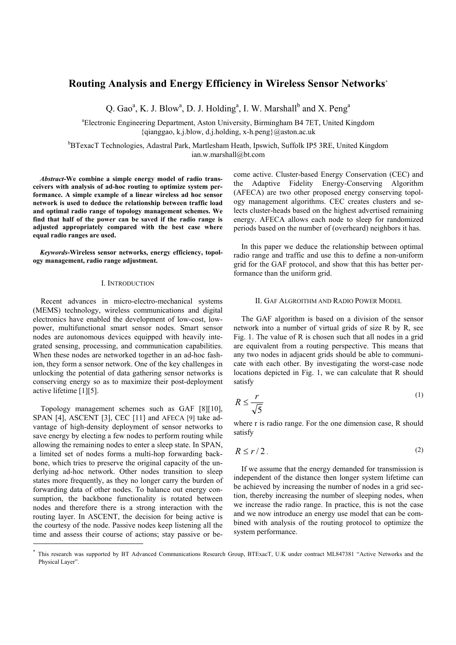# **Routing Analysis and Energy Efficiency in Wireless Sensor Networks[\\*](#page-0-0)**

Q. Gao<sup>a</sup>, K. J. Blow<sup>a</sup>, D. J. Holding<sup>a</sup>, I. W. Marshall<sup>b</sup> and X. Peng<sup>a</sup>

a Electronic Engineering Department, Aston University, Birmingham B4 7ET, United Kingdom {qianggao, k.j.blow, d.j.holding, x-h.peng}@aston.ac.uk

b BTexacT Technologies, Adastral Park, Martlesham Heath, Ipswich, Suffolk IP5 3RE, United Kingdom ian.w.marshall@bt.com

 *Abstract***-We combine a simple energy model of radio transceivers with analysis of ad-hoc routing to optimize system performance. A simple example of a linear wireless ad hoc sensor network is used to deduce the relationship between traffic load and optimal radio range of topology management schemes. We find that half of the power can be saved if the radio range is adjusted appropriately compared with the best case where equal radio ranges are used.** 

 *Keywords***-Wireless sensor networks, energy efficiency, topology management, radio range adjustment.** 

## I. INTRODUCTION

 Recent advances in micro-electro-mechanical systems (MEMS) technology, wireless communications and digital electronics have enabled the development of low-cost, lowpower, multifunctional smart sensor nodes. Smart sensor nodes are autonomous devices equipped with heavily integrated sensing, processing, and communication capabilities. When these nodes are networked together in an ad-hoc fashion, they form a sensor network. One of the key challenges in unlocking the potential of data gathering sensor networks is conserving energy so as to maximize their post-deployment active lifetime [1][5].

Topology management schemes such as GAF [8][10], SPAN [4], ASCENT [3], CEC [11] and AFECA [9] take advantage of high-density deployment of sensor networks to save energy by electing a few nodes to perform routing while allowing the remaining nodes to enter a sleep state. In SPAN, a limited set of nodes forms a multi-hop forwarding backbone, which tries to preserve the original capacity of the underlying ad-hoc network. Other nodes transition to sleep states more frequently, as they no longer carry the burden of forwarding data of other nodes. To balance out energy consumption, the backbone functionality is rotated between nodes and therefore there is a strong interaction with the routing layer. In ASCENT, the decision for being active is the courtesy of the node. Passive nodes keep listening all the time and assess their course of actions; stay passive or be-

 $\overline{a}$ 

come active. Cluster-based Energy Conservation (CEC) and the Adaptive Fidelity Energy-Conserving Algorithm (AFECA) are two other proposed energy conserving topology management algorithms. CEC creates clusters and selects cluster-heads based on the highest advertised remaining energy. AFECA allows each node to sleep for randomized periods based on the number of (overheard) neighbors it has.

In this paper we deduce the relationship between optimal radio range and traffic and use this to define a non-uniform grid for the GAF protocol, and show that this has better performance than the uniform grid.

#### II. GAF ALGROITHM AND RADIO POWER MODEL

The GAF algorithm is based on a division of the sensor network into a number of virtual grids of size R by R, see Fig. 1. The value of R is chosen such that all nodes in a grid are equivalent from a routing perspective. This means that any two nodes in adjacent grids should be able to communicate with each other. By investigating the worst-case node locations depicted in Fig. 1, we can calculate that R should satisfy

$$
R \le \frac{r}{\sqrt{5}}\tag{1}
$$

where r is radio range. For the one dimension case, R should satisfy

$$
R \le r/2 \tag{2}
$$

 If we assume that the energy demanded for transmission is independent of the distance then longer system lifetime can be achieved by increasing the number of nodes in a grid section, thereby increasing the number of sleeping nodes, when we increase the radio range. In practice, this is not the case and we now introduce an energy use model that can be combined with analysis of the routing protocol to optimize the system performance.

<span id="page-0-0"></span>This research was supported by BT Advanced Communications Research Group, BTExacT, U.K under contract ML847381 "Active Networks and the Physical Layer".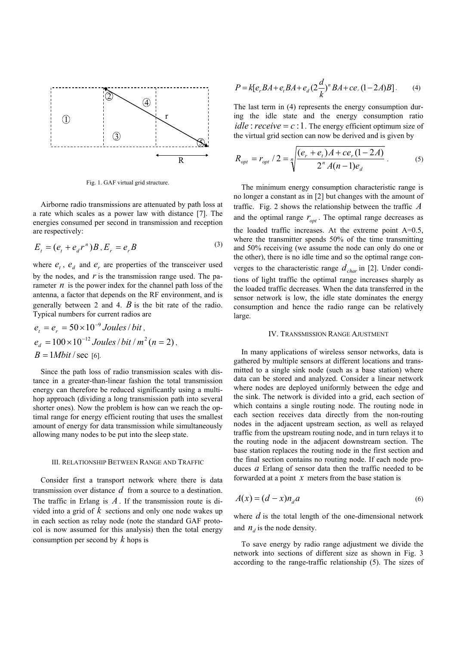

Fig. 1. GAF virtual grid structure.

Airborne radio transmissions are attenuated by path loss at a rate which scales as a power law with distance [7]. The energies consumed per second in transmission and reception are respectively:

$$
E_t = (e_t + e_d r^n)B, E_r = e_r B
$$
 (3)

where  $e_t$ ,  $e_d$  and  $e_r$  are properties of the transceiver used by the nodes, and  $r$  is the transmission range used. The parameter  $n$  is the power index for the channel path loss of the antenna, a factor that depends on the RF environment, and is generally between 2 and 4. *B* is the bit rate of the radio. Typical numbers for current radios are

$$
e_t = e_r = 50 \times 10^{-9} \text{ Joules}/\text{bit}
$$
,  
\n $e_d = 100 \times 10^{-12} \text{ Joules}/\text{bit}/m^2 (n = 2)$ ,  
\n $B = 1 \text{Mbit}/\text{sec}$  [6].

Since the path loss of radio transmission scales with distance in a greater-than-linear fashion the total transmission energy can therefore be reduced significantly using a multihop approach (dividing a long transmission path into several shorter ones). Now the problem is how can we reach the optimal range for energy efficient routing that uses the smallest amount of energy for data transmission while simultaneously allowing many nodes to be put into the sleep state.

# III. RELATIONSHIP BETWEEN RANGE AND TRAFFIC

Consider first a transport network where there is data transmission over distance *d* from a source to a destination. The traffic in Erlang is  $A$ . If the transmission route is divided into a grid of *k* sections and only one node wakes up in each section as relay node (note the standard GAF protocol is now assumed for this analysis) then the total energy consumption per second by *k* hops is

$$
P = k[e_rBA + e_tBA + e_d(2\frac{d}{k})^nBA + ce_r(1-2A)B].
$$
 (4)

The last term in (4) represents the energy consumption during the idle state and the energy consumption ratio *idle* : *receive* =  $c$  : 1. The energy efficient optimum size of the virtual grid section can now be derived and is given by

$$
R_{opt} = r_{opt} / 2 = \sqrt[n]{\frac{(e_r + e_t)A + ce_r(1 - 2A)}{2^n A(n - 1)e_d}}.
$$
 (5)

 The minimum energy consumption characteristic range is no longer a constant as in [2] but changes with the amount of traffic. Fig. 2 shows the relationship between the traffic *A* and the optimal range  $r_{opt}$ . The optimal range decreases as the loaded traffic increases. At the extreme point A=0.5, where the transmitter spends 50% of the time transmitting and 50% receiving (we assume the node can only do one or the other), there is no idle time and so the optimal range converges to the characteristic range  $d_{char}$  in [2]. Under conditions of light traffic the optimal range increases sharply as the loaded traffic decreases. When the data transferred in the sensor network is low, the idle state dominates the energy consumption and hence the radio range can be relatively large.

#### IV. TRANSMISSION RANGE AJUSTMENT

In many applications of wireless sensor networks, data is gathered by multiple sensors at different locations and transmitted to a single sink node (such as a base station) where data can be stored and analyzed. Consider a linear network where nodes are deployed uniformly between the edge and the sink. The network is divided into a grid, each section of which contains a single routing node. The routing node in each section receives data directly from the non-routing nodes in the adjacent upstream section, as well as relayed traffic from the upstream routing node, and in turn relays it to the routing node in the adjacent downstream section. The base station replaces the routing node in the first section and the final section contains no routing node. If each node produces  $a$  Erlang of sensor data then the traffic needed to be forwarded at a point *x* meters from the base station is

$$
A(x) = (d - x)n_d a \tag{6}
$$

where  $d$  is the total length of the one-dimensional network and  $n_d$  is the node density.

To save energy by radio range adjustment we divide the network into sections of different size as shown in Fig. 3 according to the range-traffic relationship (5). The sizes of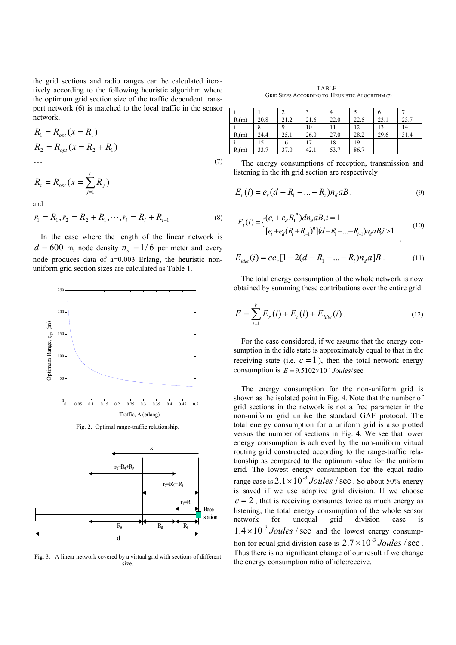the grid sections and radio ranges can be calculated iteratively according to the following heuristic algorithm where the optimum grid section size of the traffic dependent transport network (6) is matched to the local traffic in the sensor network.

$$
R_1 = R_{opt}(x = R_1)
$$
  
\n
$$
R_2 = R_{opt}(x = R_2 + R_1)
$$
  
\n... (7)

 $(x = \sum R_i)$  $= R_{opt}(x = \sum_{j=1}^{i}$ *j*  $R_i = R_{opt}(x = \sum R_j)$ 

and

$$
r_1 = R_1, r_2 = R_2 + R_1, \cdots, r_i = R_i + R_{i-1}
$$
 (8)

 In the case where the length of the linear network is  $d = 600$  m, node density  $n_d = 1/6$  per meter and every node produces data of a=0.003 Erlang, the heuristic nonuniform grid section sizes are calculated as Table 1.



Fig. 2. Optimal range-traffic relationship.



Fig. 3. A linear network covered by a virtual grid with sections of different size.

TABLE I GRID SIZES ACCORDING TO HEURISTIC ALGORITHM (7)

|          |      |      |      |      |      | o    |      |
|----------|------|------|------|------|------|------|------|
| $R_i(m)$ | 20.8 | 21.2 | 21.6 | 22.0 | 22.5 | 23.1 | 23.7 |
|          |      | Q    | 10   |      | 12   | 13   | 14   |
| $R_i(m)$ | 24.4 | 25.1 | 26.0 | 27.0 | 28.2 | 29.6 | 31.4 |
|          | 15   | 16   | 17   | 18   | 19   |      |      |
| $R_i(m)$ | 33.7 | 37.0 | 42.1 | 53.7 | 86.7 |      |      |

 The energy consumptions of reception, transmission and listening in the ith grid section are respectively

$$
E_r(i) = e_r(d - R_1 - \dots - R_i)n_d a B,
$$
\n(9)

$$
E_{t}(i) = \begin{cases} (e_{t} + e_{d} R_{1}^{n}) d n_{d} a B, i = 1\\ [e_{t} + e_{d} (R_{t} + R_{t-1})^{n}] (d - R_{1} - \dots - R_{t-1}) n_{d} a B, i > 1 \end{cases}
$$
(10)

$$
E_{idle}(i) = ce_r[1 - 2(d - R_1 - ... - R_i)n_d a]B.
$$
 (11)

 The total energy consumption of the whole network is now obtained by summing these contributions over the entire grid

$$
E = \sum_{i=1}^{k} E_r(i) + E_t(i) + E_{idle}(i).
$$
 (12)

 For the case considered, if we assume that the energy consumption in the idle state is approximately equal to that in the receiving state (i.e.  $c = 1$ ), then the total network energy consumption is  $E = 9.5102 \times 10^{-4}$  *Joules*/sec.

 The energy consumption for the non-uniform grid is shown as the isolated point in Fig. 4. Note that the number of grid sections in the network is not a free parameter in the non-uniform grid unlike the standard GAF protocol. The total energy consumption for a uniform grid is also plotted versus the number of sections in Fig. 4. We see that lower energy consumption is achieved by the non-uniform virtual routing grid constructed according to the range-traffic relationship as compared to the optimum value for the uniform grid. The lowest energy consumption for the equal radio range case is  $2.1 \times 10^{-3}$  *Joules* / sec. So about 50% energy is saved if we use adaptive grid division. If we choose  $c = 2$ , that is receiving consumes twice as much energy as  $1.4 \times 10^{-3}$  Joules / sec and the lowest energy consumplistening, the total energy consumption of the whole sensor network for unequal grid division case is tion for equal grid division case is  $2.7 \times 10^{-3}$  Joules / sec. Thus there is no significant change of our result if we change the energy consumption ratio of idle:receive.